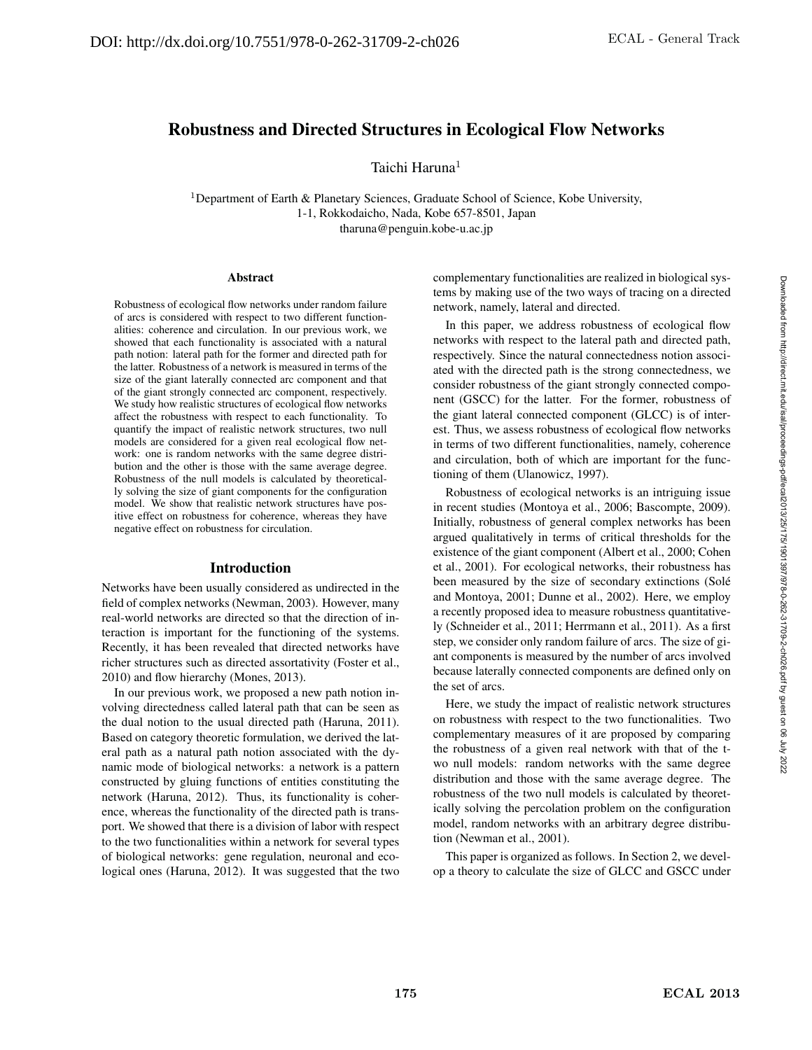# Robustness and Directed Structures in Ecological Flow Networks

Taichi Haruna<sup>1</sup>

<sup>1</sup>Department of Earth & Planetary Sciences, Graduate School of Science, Kobe University, 1-1, Rokkodaicho, Nada, Kobe 657-8501, Japan tharuna@penguin.kobe-u.ac.jp

#### Abstract

Robustness of ecological flow networks under random failure of arcs is considered with respect to two different functionalities: coherence and circulation. In our previous work, we showed that each functionality is associated with a natural path notion: lateral path for the former and directed path for the latter. Robustness of a network is measured in terms of the size of the giant laterally connected arc component and that of the giant strongly connected arc component, respectively. We study how realistic structures of ecological flow networks affect the robustness with respect to each functionality. To quantify the impact of realistic network structures, two null models are considered for a given real ecological flow network: one is random networks with the same degree distribution and the other is those with the same average degree. Robustness of the null models is calculated by theoretically solving the size of giant components for the configuration model. We show that realistic network structures have positive effect on robustness for coherence, whereas they have negative effect on robustness for circulation.

### Introduction

Networks have been usually considered as undirected in the field of complex networks (Newman, 2003). However, many real-world networks are directed so that the direction of interaction is important for the functioning of the systems. Recently, it has been revealed that directed networks have richer structures such as directed assortativity (Foster et al., 2010) and flow hierarchy (Mones, 2013).

In our previous work, we proposed a new path notion involving directedness called lateral path that can be seen as the dual notion to the usual directed path (Haruna, 2011). Based on category theoretic formulation, we derived the lateral path as a natural path notion associated with the dynamic mode of biological networks: a network is a pattern constructed by gluing functions of entities constituting the network (Haruna, 2012). Thus, its functionality is coherence, whereas the functionality of the directed path is transport. We showed that there is a division of labor with respect to the two functionalities within a network for several types of biological networks: gene regulation, neuronal and ecological ones (Haruna, 2012). It was suggested that the two complementary functionalities are realized in biological systems by making use of the two ways of tracing on a directed network, namely, lateral and directed.

In this paper, we address robustness of ecological flow networks with respect to the lateral path and directed path, respectively. Since the natural connectedness notion associated with the directed path is the strong connectedness, we consider robustness of the giant strongly connected component (GSCC) for the latter. For the former, robustness of the giant lateral connected component (GLCC) is of interest. Thus, we assess robustness of ecological flow networks in terms of two different functionalities, namely, coherence and circulation, both of which are important for the functioning of them (Ulanowicz, 1997).

Robustness of ecological networks is an intriguing issue in recent studies (Montoya et al., 2006; Bascompte, 2009). Initially, robustness of general complex networks has been argued qualitatively in terms of critical thresholds for the existence of the giant component (Albert et al., 2000; Cohen et al., 2001). For ecological networks, their robustness has been measured by the size of secondary extinctions (Solé and Montoya, 2001; Dunne et al., 2002). Here, we employ a recently proposed idea to measure robustness quantitatively (Schneider et al., 2011; Herrmann et al., 2011). As a first step, we consider only random failure of arcs. The size of giant components is measured by the number of arcs involved because laterally connected components are defined only on the set of arcs.

Here, we study the impact of realistic network structures on robustness with respect to the two functionalities. Two complementary measures of it are proposed by comparing the robustness of a given real network with that of the two null models: random networks with the same degree distribution and those with the same average degree. The robustness of the two null models is calculated by theoretically solving the percolation problem on the configuration model, random networks with an arbitrary degree distribution (Newman et al., 2001).

This paper is organized as follows. In Section 2, we develop a theory to calculate the size of GLCC and GSCC under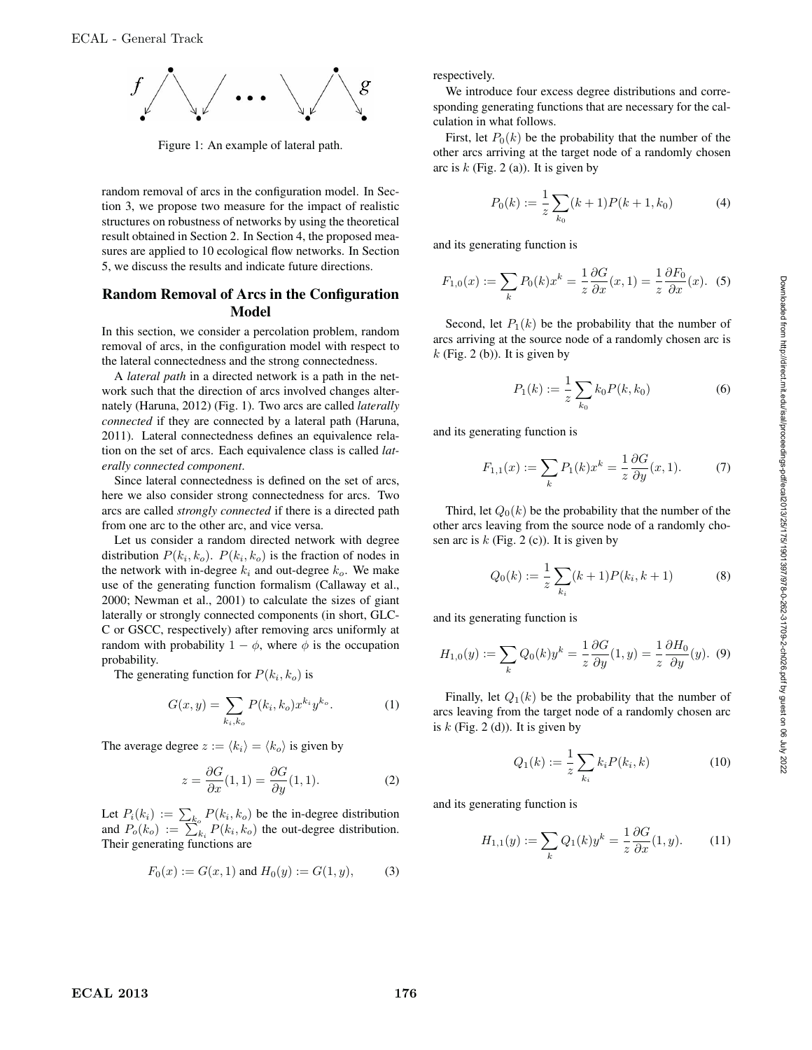

Figure 1: An example of lateral path.

random removal of arcs in the configuration model. In Section 3, we propose two measure for the impact of realistic structures on robustness of networks by using the theoretical result obtained in Section 2. In Section 4, the proposed measures are applied to 10 ecological flow networks. In Section 5, we discuss the results and indicate future directions.

# Random Removal of Arcs in the Configuration Model

In this section, we consider a percolation problem, random removal of arcs, in the configuration model with respect to the lateral connectedness and the strong connectedness.

A *lateral path* in a directed network is a path in the network such that the direction of arcs involved changes alternately (Haruna, 2012) (Fig. 1). Two arcs are called *laterally connected* if they are connected by a lateral path (Haruna, 2011). Lateral connectedness defines an equivalence relation on the set of arcs. Each equivalence class is called *laterally connected component*.

Since lateral connectedness is defined on the set of arcs, here we also consider strong connectedness for arcs. Two arcs are called *strongly connected* if there is a directed path from one arc to the other arc, and vice versa.

Let us consider a random directed network with degree distribution  $P(k_i, k_o)$ .  $P(k_i, k_o)$  is the fraction of nodes in the network with in-degree  $k_i$  and out-degree  $k_o$ . We make use of the generating function formalism (Callaway et al., 2000; Newman et al., 2001) to calculate the sizes of giant laterally or strongly connected components (in short, GLC-C or GSCC, respectively) after removing arcs uniformly at random with probability  $1 - \phi$ , where  $\phi$  is the occupation probability.

The generating function for  $P(k_i, k_o)$  is

$$
G(x,y) = \sum_{k_i,k_o} P(k_i,k_o) x^{k_i} y^{k_o}.
$$
 (1)

The average degree  $z := \langle k_i \rangle = \langle k_0 \rangle$  is given by

$$
z = \frac{\partial G}{\partial x}(1,1) = \frac{\partial G}{\partial y}(1,1). \tag{2}
$$

Let  $P_i(k_i) := \sum_{k_o} P(k_i, k_o)$  be the in-degree distribution and  $P_o(k_o) := \sum_{k_i}^{\infty} P(k_i, k_o)$  the out-degree distribution. Their generating functions are

$$
F_0(x) := G(x, 1)
$$
 and  $H_0(y) := G(1, y)$ , (3)

respectively.

We introduce four excess degree distributions and corresponding generating functions that are necessary for the calculation in what follows.

First, let  $P_0(k)$  be the probability that the number of the other arcs arriving at the target node of a randomly chosen arc is  $k$  (Fig. 2 (a)). It is given by

$$
P_0(k) := \frac{1}{z} \sum_{k_0} (k+1) P(k+1, k_0)
$$
 (4)

and its generating function is

$$
F_{1,0}(x) := \sum_{k} P_0(k)x^k = \frac{1}{z} \frac{\partial G}{\partial x}(x,1) = \frac{1}{z} \frac{\partial F_0}{\partial x}(x). \tag{5}
$$

Second, let  $P_1(k)$  be the probability that the number of arcs arriving at the source node of a randomly chosen arc is  $k$  (Fig. 2 (b)). It is given by

$$
P_1(k) := \frac{1}{z} \sum_{k_0} k_0 P(k, k_0)
$$
 (6)

and its generating function is

$$
F_{1,1}(x) := \sum_{k} P_1(k)x^k = \frac{1}{z} \frac{\partial G}{\partial y}(x, 1).
$$
 (7)

Third, let  $Q_0(k)$  be the probability that the number of the other arcs leaving from the source node of a randomly chosen arc is  $k$  (Fig. 2 (c)). It is given by

$$
Q_0(k) := \frac{1}{z} \sum_{k_i} (k+1) P(k_i, k+1)
$$
 (8)

and its generating function is

$$
H_{1,0}(y) := \sum_{k} Q_0(k) y^k = \frac{1}{z} \frac{\partial G}{\partial y}(1, y) = \frac{1}{z} \frac{\partial H_0}{\partial y}(y). \tag{9}
$$

Finally, let  $Q_1(k)$  be the probability that the number of arcs leaving from the target node of a randomly chosen arc is  $k$  (Fig. 2 (d)). It is given by

$$
Q_1(k) := \frac{1}{z} \sum_{k_i} k_i P(k_i, k)
$$
 (10)

and its generating function is

$$
H_{1,1}(y) := \sum_{k} Q_1(k) y^k = \frac{1}{z} \frac{\partial G}{\partial x}(1, y). \tag{11}
$$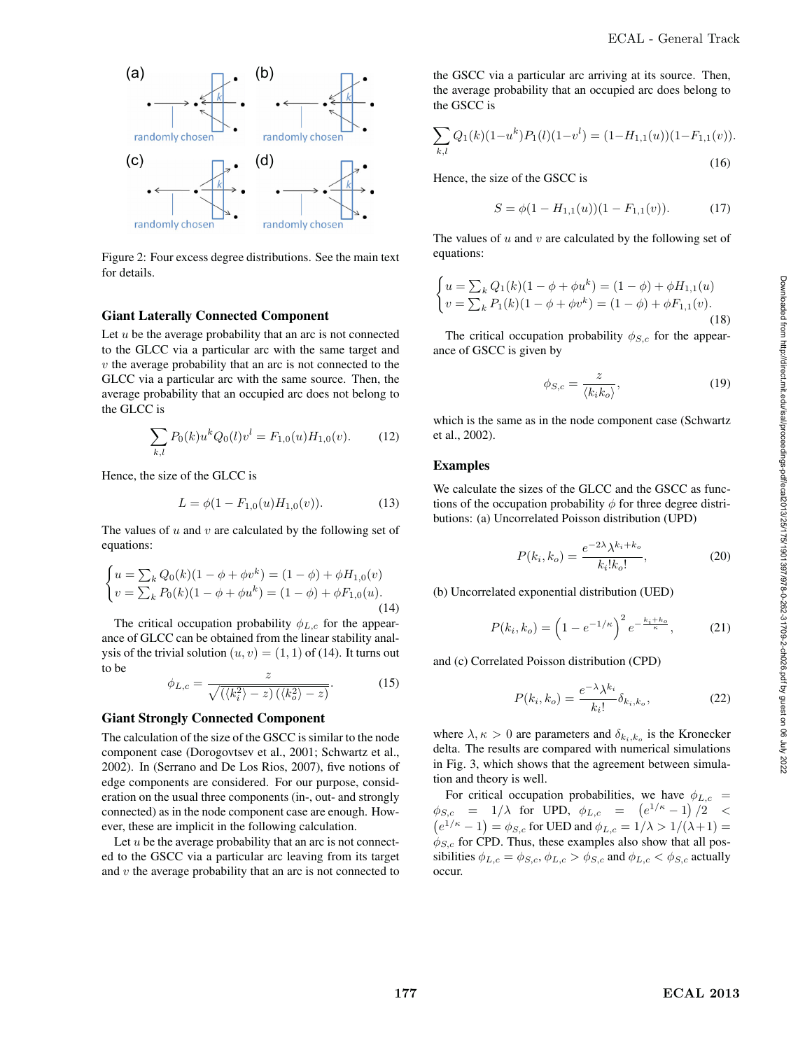

Figure 2: Four excess degree distributions. See the main text for details.

#### Giant Laterally Connected Component

Let  $u$  be the average probability that an arc is not connected to the GLCC via a particular arc with the same target and  $v$  the average probability that an arc is not connected to the GLCC via a particular arc with the same source. Then, the average probability that an occupied arc does not belong to the GLCC is

$$
\sum_{k,l} P_0(k) u^k Q_0(l) v^l = F_{1,0}(u) H_{1,0}(v).
$$
 (12)

Hence, the size of the GLCC is

$$
L = \phi(1 - F_{1,0}(u)H_{1,0}(v)).
$$
\n(13)

The values of  $u$  and  $v$  are calculated by the following set of equations:

$$
\begin{cases}\nu = \sum_{k} Q_{0}(k)(1 - \phi + \phi v^{k}) = (1 - \phi) + \phi H_{1,0}(v) \\
v = \sum_{k} P_{0}(k)(1 - \phi + \phi u^{k}) = (1 - \phi) + \phi F_{1,0}(u).\n\end{cases}
$$
\n(14)

The critical occupation probability  $\phi_{L,c}$  for the appearance of GLCC can be obtained from the linear stability analysis of the trivial solution  $(u, v) = (1, 1)$  of (14). It turns out to be

$$
\phi_{L,c} = \frac{z}{\sqrt{(\langle k_i^2 \rangle - z)(\langle k_o^2 \rangle - z)}}.\tag{15}
$$

#### Giant Strongly Connected Component

The calculation of the size of the GSCC is similar to the node component case (Dorogovtsev et al., 2001; Schwartz et al., 2002). In (Serrano and De Los Rios, 2007), five notions of edge components are considered. For our purpose, consideration on the usual three components (in-, out- and strongly connected) as in the node component case are enough. However, these are implicit in the following calculation.

Let  $u$  be the average probability that an arc is not connected to the GSCC via a particular arc leaving from its target and  $v$  the average probability that an arc is not connected to the GSCC via a particular arc arriving at its source. Then, the average probability that an occupied arc does belong to the GSCC is

$$
\sum_{k,l} Q_1(k)(1-u^k)P_1(l)(1-v^l) = (1-H_{1,1}(u))(1-F_{1,1}(v)).
$$
\n(16)

Hence, the size of the GSCC is

$$
S = \phi(1 - H_{1,1}(u))(1 - F_{1,1}(v)).
$$
 (17)

The values of  $u$  and  $v$  are calculated by the following set of equations:

$$
\begin{cases} u = \sum_{k} Q_{1}(k)(1 - \phi + \phi u^{k}) = (1 - \phi) + \phi H_{1,1}(u) \\ v = \sum_{k} P_{1}(k)(1 - \phi + \phi v^{k}) = (1 - \phi) + \phi F_{1,1}(v). \end{cases}
$$
\n(18)

The critical occupation probability  $\phi_{S,c}$  for the appearance of GSCC is given by

$$
\phi_{S,c} = \frac{z}{\langle k_i k_o \rangle},\tag{19}
$$

which is the same as in the node component case (Schwartz et al., 2002).

#### Examples

We calculate the sizes of the GLCC and the GSCC as functions of the occupation probability  $\phi$  for three degree distributions: (a) Uncorrelated Poisson distribution (UPD)

$$
P(k_i, k_o) = \frac{e^{-2\lambda} \lambda^{k_i + k_o}}{k_i! k_o!},
$$
\n(20)

(b) Uncorrelated exponential distribution (UED)

$$
P(k_i, k_o) = \left(1 - e^{-1/\kappa}\right)^2 e^{-\frac{k_i + k_o}{\kappa}},\tag{21}
$$

and (c) Correlated Poisson distribution (CPD)

$$
P(k_i, k_o) = \frac{e^{-\lambda} \lambda^{k_i}}{k_i!} \delta_{k_i, k_o},
$$
\n(22)

where  $\lambda, \kappa > 0$  are parameters and  $\delta_{k_i,k_o}$  is the Kronecker delta. The results are compared with numerical simulations in Fig. 3, which shows that the agreement between simulation and theory is well.

For critical occupation probabilities, we have  $\phi_{L,c}$  =  $\phi_{S,c}$  = 1/ $\lambda$  for UPD,  $\phi_{L,c}$  =  $(e^{1/\kappa}-1)/2$  <  $(e^{1/\kappa}-1)=\phi_{S,c}$  for UED and  $\phi_{L,c}=1/\lambda>1/(\lambda+1)=$  $\phi_{S,c}$  for CPD. Thus, these examples also show that all possibilities  $\phi_{L,c} = \phi_{S,c}, \phi_{L,c} > \phi_{S,c}$  and  $\phi_{L,c} < \phi_{S,c}$  actually occur.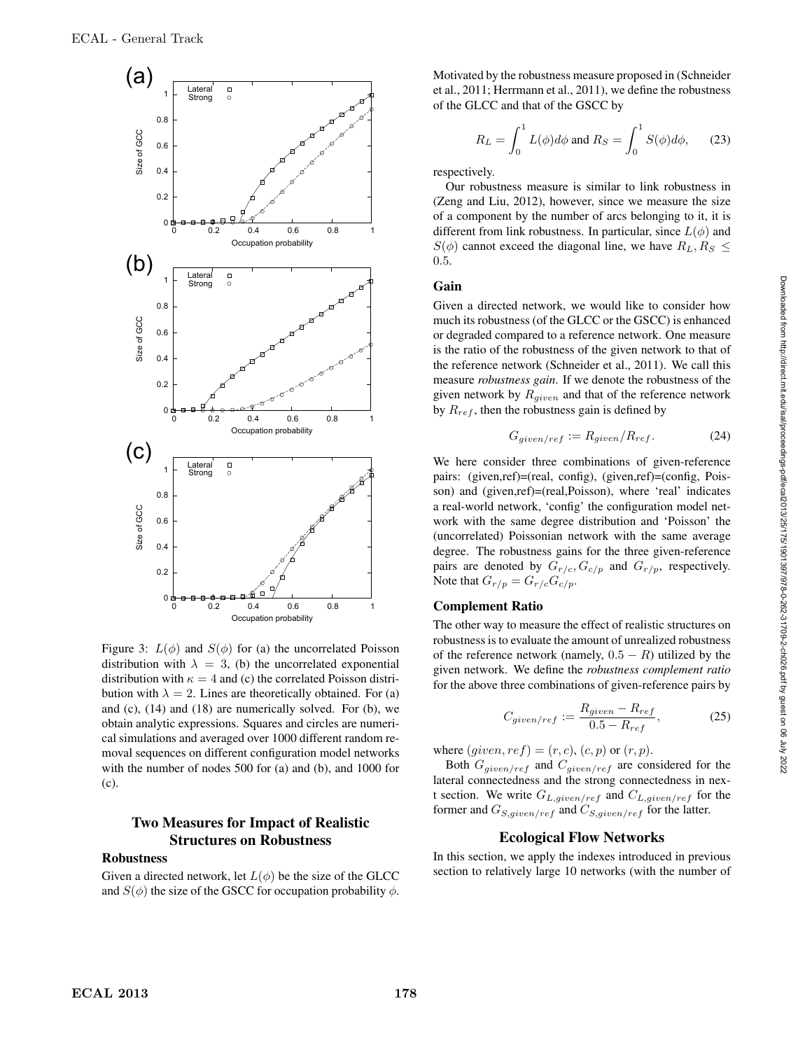

Figure 3:  $L(\phi)$  and  $S(\phi)$  for (a) the uncorrelated Poisson distribution with  $\lambda = 3$ , (b) the uncorrelated exponential distribution with  $\kappa = 4$  and (c) the correlated Poisson distribution with  $\lambda = 2$ . Lines are theoretically obtained. For (a) and  $(c)$ ,  $(14)$  and  $(18)$  are numerically solved. For  $(b)$ , we obtain analytic expressions. Squares and circles are numerical simulations and averaged over 1000 different random removal sequences on different configuration model networks with the number of nodes 500 for (a) and (b), and 1000 for (c).

# Two Measures for Impact of Realistic Structures on Robustness

### Robustness

Given a directed network, let  $L(\phi)$  be the size of the GLCC and  $S(\phi)$  the size of the GSCC for occupation probability  $\phi$ .

Motivated by the robustness measure proposed in (Schneider et al., 2011; Herrmann et al., 2011), we define the robustness of the GLCC and that of the GSCC by

$$
R_L = \int_0^1 L(\phi)d\phi \text{ and } R_S = \int_0^1 S(\phi)d\phi,
$$
 (23)

respectively.

Our robustness measure is similar to link robustness in (Zeng and Liu, 2012), however, since we measure the size of a component by the number of arcs belonging to it, it is different from link robustness. In particular, since  $L(\phi)$  and  $S(\phi)$  cannot exceed the diagonal line, we have  $R_L, R_S \leq$ 0.5.

### Gain

Given a directed network, we would like to consider how much its robustness (of the GLCC or the GSCC) is enhanced or degraded compared to a reference network. One measure is the ratio of the robustness of the given network to that of the reference network (Schneider et al., 2011). We call this measure *robustness gain*. If we denote the robustness of the given network by  $R_{given}$  and that of the reference network by  $R_{ref}$ , then the robustness gain is defined by

$$
G_{given/ref} := R_{given}/R_{ref}.
$$
 (24)

We here consider three combinations of given-reference pairs: (given,ref)=(real, config), (given,ref)=(config, Poisson) and (given,ref)=(real,Poisson), where 'real' indicates a real-world network, 'config' the configuration model network with the same degree distribution and 'Poisson' the (uncorrelated) Poissonian network with the same average degree. The robustness gains for the three given-reference pairs are denoted by  $G_{r/c}$ ,  $G_{c/p}$  and  $G_{r/p}$ , respectively. Note that  $G_{r/p} = G_{r/c} G_{c/p}$ .

#### Complement Ratio

The other way to measure the effect of realistic structures on robustness is to evaluate the amount of unrealized robustness of the reference network (namely,  $0.5 - R$ ) utilized by the given network. We define the *robustness complement ratio* for the above three combinations of given-reference pairs by

$$
C_{given/ref} := \frac{R_{given} - R_{ref}}{0.5 - R_{ref}},\tag{25}
$$

where  $(given, ref) = (r, c), (c, p)$  or  $(r, p)$ .

Both  $G_{given/ref}$  and  $C_{given/ref}$  are considered for the lateral connectedness and the strong connectedness in next section. We write  $G_{L,given/ref}$  and  $C_{L,given/ref}$  for the former and  $G_{S,given/ref}$  and  $C_{S,given/ref}$  for the latter.

## Ecological Flow Networks

In this section, we apply the indexes introduced in previous section to relatively large 10 networks (with the number of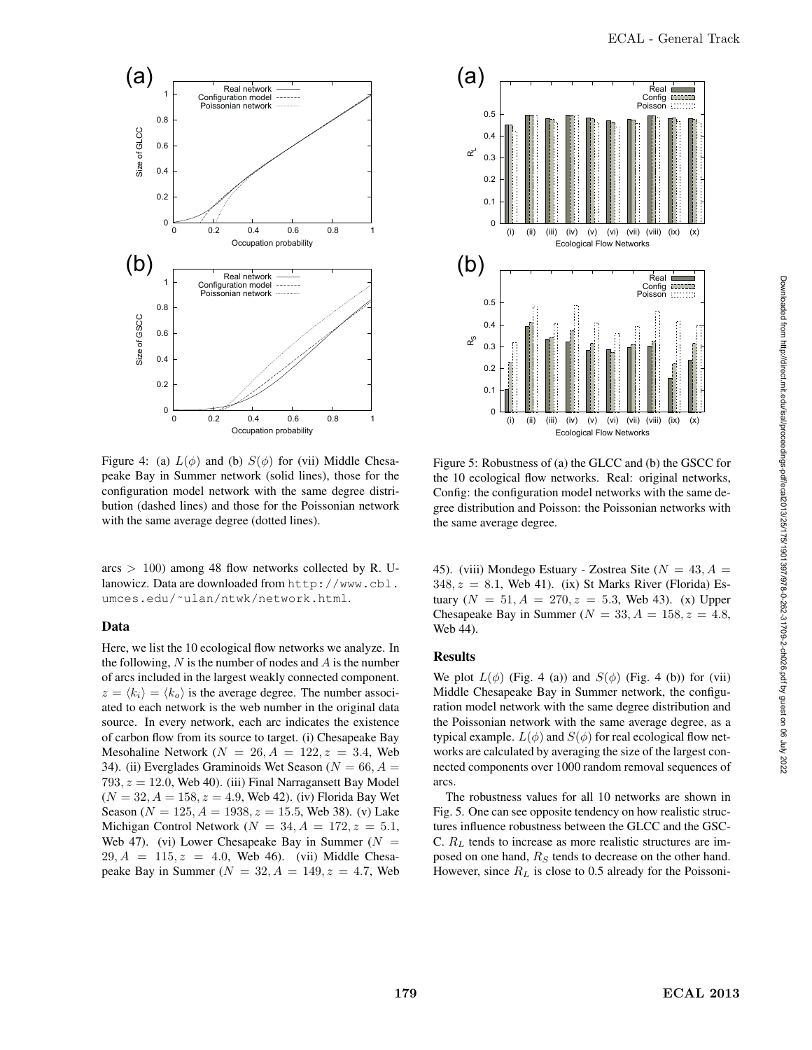

Figure 4: (a)  $L(\phi)$  and (b)  $S(\phi)$  for (vii) Middle Chesapeake Bay in Summer network (solid lines), those for the configuration model network with the same degree distribution (dashed lines) and those for the Poissonian network with the same average degree (dotted lines).

 $\arcs$  > 100) among 48 flow networks collected by R. Ulanowicz. Data are downloaded from http://www.cbl. umces.edu/˜ulan/ntwk/network.html.

# Data

Here, we list the 10 ecological flow networks we analyze. In the following,  $N$  is the number of nodes and  $A$  is the number of arcs included in the largest weakly connected component.  $z = \langle k_i \rangle = \langle k_o \rangle$  is the average degree. The number associated to each network is the web number in the original data source. In every network, each arc indicates the existence of carbon flow from its source to target. (i) Chesapeake Bay Mesohaline Network ( $N = 26$ ,  $A = 122$ ,  $z = 3.4$ , Web 34). (ii) Everglades Graminoids Wet Season ( $N = 66, A =$ 793,  $z = 12.0$ , Web 40). (iii) Final Narragansett Bay Model  $(N = 32, A = 158, z = 4.9,$  Web 42). (iv) Florida Bay Wet Season ( $N = 125$ ,  $A = 1938$ ,  $z = 15.5$ , Web 38). (v) Lake Michigan Control Network ( $N = 34, A = 172, z = 5.1$ , Web 47). (vi) Lower Chesapeake Bay in Summer ( $N =$  $29, A = 115, z = 4.0$ , Web 46). (vii) Middle Chesapeake Bay in Summer ( $N = 32, A = 149, z = 4.7$ , Web



Figure 5: Robustness of (a) the GLCC and (b) the GSCC for the 10 ecological flow networks. Real: original networks, Config: the configuration model networks with the same degree distribution and Poisson: the Poissonian networks with the same average degree.

45). (viii) Mondego Estuary - Zostrea Site ( $N = 43, A =$  $348, z = 8.1$ , Web 41). (ix) St Marks River (Florida) Estuary ( $N = 51, A = 270, z = 5.3$ , Web 43). (x) Upper Chesapeake Bay in Summer ( $N = 33, A = 158, z = 4.8$ , Web 44).

## Results

We plot  $L(\phi)$  (Fig. 4 (a)) and  $S(\phi)$  (Fig. 4 (b)) for (vii) Middle Chesapeake Bay in Summer network, the configuration model network with the same degree distribution and the Poissonian network with the same average degree, as a typical example.  $L(\phi)$  and  $S(\phi)$  for real ecological flow networks are calculated by averaging the size of the largest connected components over 1000 random removal sequences of arcs.

The robustness values for all 10 networks are shown in Fig. 5. One can see opposite tendency on how realistic structures influence robustness between the GLCC and the GSC-C.  $R_L$  tends to increase as more realistic structures are imposed on one hand,  $R<sub>S</sub>$  tends to decrease on the other hand. However, since  $R_L$  is close to 0.5 already for the Poissoni-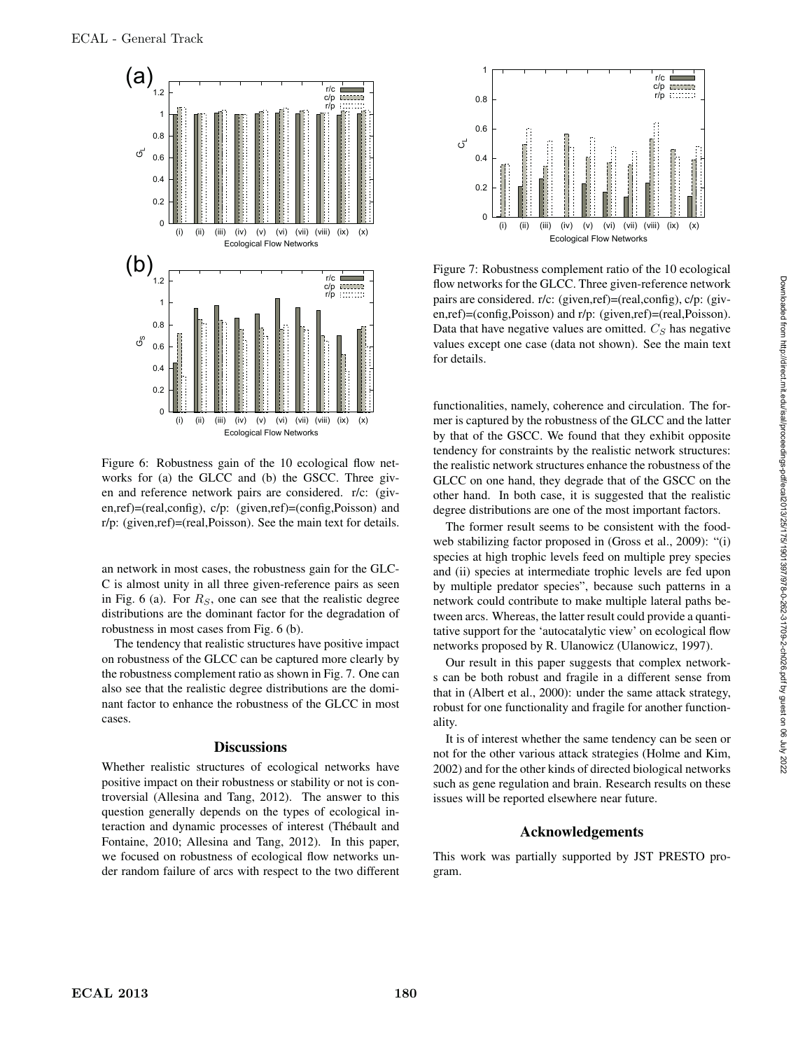

Figure 6: Robustness gain of the 10 ecological flow networks for (a) the GLCC and (b) the GSCC. Three given and reference network pairs are considered. r/c: (given,ref)=(real,config), c/p: (given,ref)=(config,Poisson) and r/p: (given,ref)=(real,Poisson). See the main text for details.

an network in most cases, the robustness gain for the GLC-C is almost unity in all three given-reference pairs as seen in Fig. 6 (a). For  $R<sub>S</sub>$ , one can see that the realistic degree distributions are the dominant factor for the degradation of robustness in most cases from Fig. 6 (b).

The tendency that realistic structures have positive impact on robustness of the GLCC can be captured more clearly by the robustness complement ratio as shown in Fig. 7. One can also see that the realistic degree distributions are the dominant factor to enhance the robustness of the GLCC in most cases.

### **Discussions**

Whether realistic structures of ecological networks have positive impact on their robustness or stability or not is controversial (Allesina and Tang, 2012). The answer to this question generally depends on the types of ecological interaction and dynamic processes of interest (Thébault and Fontaine, 2010; Allesina and Tang, 2012). In this paper, we focused on robustness of ecological flow networks under random failure of arcs with respect to the two different



Figure 7: Robustness complement ratio of the 10 ecological flow networks for the GLCC. Three given-reference network pairs are considered. r/c: (given,ref)=(real,config), c/p: (given,ref)=(config,Poisson) and r/p: (given,ref)=(real,Poisson). Data that have negative values are omitted.  $C_S$  has negative values except one case (data not shown). See the main text for details.

functionalities, namely, coherence and circulation. The former is captured by the robustness of the GLCC and the latter by that of the GSCC. We found that they exhibit opposite tendency for constraints by the realistic network structures: the realistic network structures enhance the robustness of the GLCC on one hand, they degrade that of the GSCC on the other hand. In both case, it is suggested that the realistic degree distributions are one of the most important factors.

The former result seems to be consistent with the foodweb stabilizing factor proposed in (Gross et al., 2009): "(i) species at high trophic levels feed on multiple prey species and (ii) species at intermediate trophic levels are fed upon by multiple predator species", because such patterns in a network could contribute to make multiple lateral paths between arcs. Whereas, the latter result could provide a quantitative support for the 'autocatalytic view' on ecological flow networks proposed by R. Ulanowicz (Ulanowicz, 1997).

Our result in this paper suggests that complex networks can be both robust and fragile in a different sense from that in (Albert et al., 2000): under the same attack strategy, robust for one functionality and fragile for another functionality.

It is of interest whether the same tendency can be seen or not for the other various attack strategies (Holme and Kim, 2002) and for the other kinds of directed biological networks such as gene regulation and brain. Research results on these issues will be reported elsewhere near future.

#### Acknowledgements

This work was partially supported by JST PRESTO program.